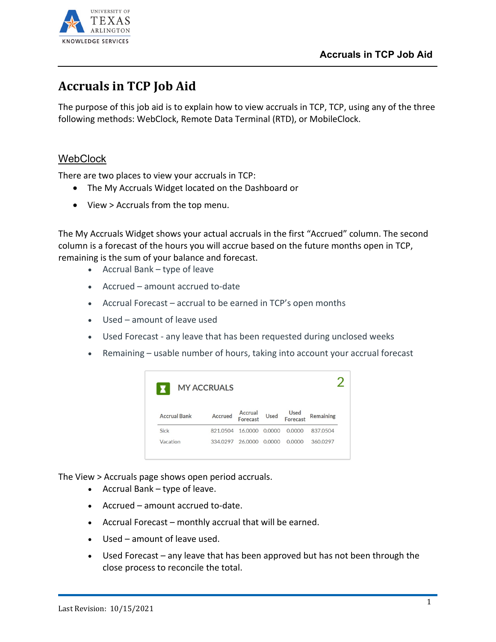

## **Accruals in TCP Job Aid**

The purpose of this job aid is to explain how to view accruals in TCP, TCP, using any of the three following methods: WebClock, Remote Data Terminal (RTD), or MobileClock.

## **WebClock**

There are two places to view your accruals in TCP:

- The My Accruals Widget located on the Dashboard or
- View > Accruals from the top menu.

The My Accruals Widget shows your actual accruals in the first "Accrued" column. The second column is a forecast of the hours you will accrue based on the future months open in TCP, remaining is the sum of your balance and forecast.

- Accrual Bank type of leave
- Accrued amount accrued to-date
- Accrual Forecast accrual to be earned in TCP's open months
- Used amount of leave used
- Used Forecast any leave that has been requested during unclosed weeks
- Remaining usable number of hours, taking into account your accrual forecast



The View > Accruals page shows open period accruals.

- Accrual Bank type of leave.
- Accrued amount accrued to-date.
- Accrual Forecast monthly accrual that will be earned.
- Used amount of leave used.
- Used Forecast any leave that has been approved but has not been through the close process to reconcile the total.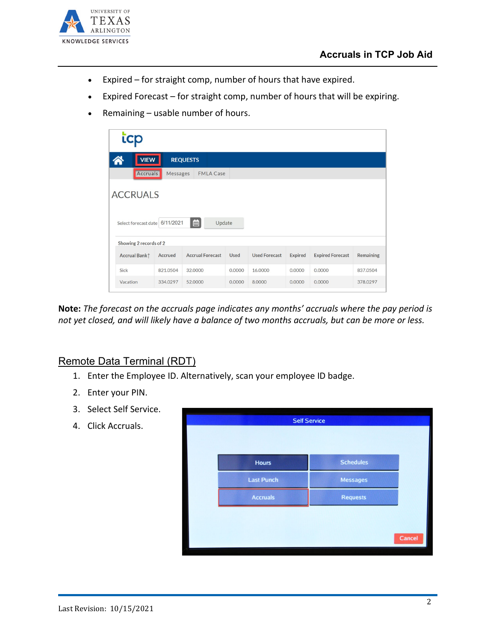

- Expired for straight comp, number of hours that have expired.
- Expired Forecast for straight comp, number of hours that will be expiring.
- Remaining usable number of hours.

| <b>VIEW</b>                                       |          | <b>REQUESTS</b>         |             |                      |                |                         |                  |
|---------------------------------------------------|----------|-------------------------|-------------|----------------------|----------------|-------------------------|------------------|
| Accruals                                          | Messages | <b>FMLA Case</b>        |             |                      |                |                         |                  |
| <b>ACCRUALS</b><br>Select forecast date 6/11/2021 |          | 茴<br>Update             |             |                      |                |                         |                  |
| Showing 2 records of 2                            |          |                         |             |                      |                |                         |                  |
| Accrual Bank <sup>1</sup>                         | Accrued  | <b>Accrual Forecast</b> | <b>Used</b> | <b>Used Forecast</b> | <b>Expired</b> | <b>Expired Forecast</b> | <b>Remaining</b> |
| Sick                                              | 821.0504 | 32,0000                 | 0.0000      | 16,0000              | 0.0000         | 0.0000                  | 837.0504         |
| Vacation                                          | 334.0297 | 52,0000                 | 0.0000      | 8,0000               | 0.0000         | 0.0000                  | 378,0297         |

**Note:** *The forecast on the accruals page indicates any months' accruals where the pay period is not yet closed, and will likely have a balance of two months accruals, but can be more or less.* 

## Remote Data Terminal (RDT)

- 1. Enter the Employee ID. Alternatively, scan your employee ID badge.
- 2. Enter your PIN.
- 3. Select Self Service.
- 4. Click Accruals.

| <b>Hours</b>      | <b>Schedules</b> |
|-------------------|------------------|
| <b>Last Punch</b> | <b>Messages</b>  |
| <b>Accruals</b>   | <b>Requests</b>  |